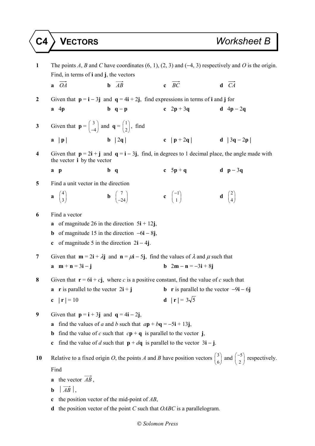| $\mathbf{1}$     | The points A, B and C have coordinates $(6, 1)$ , $(2, 3)$ and $(-4, 3)$ respectively and O is the origin.<br>Find, in terms of $\mathbf i$ and $\mathbf j$ , the vectors                                                                                                                                                                                          |                                                      |                                           |                                                   |  |  |
|------------------|--------------------------------------------------------------------------------------------------------------------------------------------------------------------------------------------------------------------------------------------------------------------------------------------------------------------------------------------------------------------|------------------------------------------------------|-------------------------------------------|---------------------------------------------------|--|--|
|                  | $a$ $OA$                                                                                                                                                                                                                                                                                                                                                           | $\mathbf{b}$ $\overrightarrow{AB}$                   | c $\overrightarrow{BC}$                   | $d \overrightarrow{CA}$                           |  |  |
| $\boldsymbol{2}$ | Given that $p = i - 3j$ and $q = 4i + 2j$ , find expressions in terms of i and j for                                                                                                                                                                                                                                                                               |                                                      |                                           |                                                   |  |  |
|                  | $a \quad 4p$                                                                                                                                                                                                                                                                                                                                                       | $b \ q - p$                                          | c $2p + 3q$                               | $d \cdot 4p - 2q$                                 |  |  |
| 3                | Given that $\mathbf{p} = \begin{pmatrix} 3 \\ -4 \end{pmatrix}$ and $\mathbf{q} = \begin{pmatrix} 1 \\ 2 \end{pmatrix}$ , find                                                                                                                                                                                                                                     |                                                      |                                           |                                                   |  |  |
|                  | a  p                                                                                                                                                                                                                                                                                                                                                               | <b>b</b> $ 2q $ <b>c</b> $ p+2q $ <b>d</b> $ 3q-2p $ |                                           |                                                   |  |  |
| 4                | Given that $p = 2i + j$ and $q = i - 3j$ , find, in degrees to 1 decimal place, the angle made with<br>the vector <b>i</b> by the vector                                                                                                                                                                                                                           |                                                      |                                           |                                                   |  |  |
|                  | a p                                                                                                                                                                                                                                                                                                                                                                | $b \ q$                                              | c $5p + q$                                | $d$ p - 3q                                        |  |  |
| 5                | Find a unit vector in the direction                                                                                                                                                                                                                                                                                                                                |                                                      |                                           |                                                   |  |  |
|                  | $\mathbf{a} \begin{pmatrix} 4 \\ 3 \end{pmatrix}$                                                                                                                                                                                                                                                                                                                  | <b>b</b> $\begin{pmatrix} 7 \\ -24 \end{pmatrix}$    | c $\begin{pmatrix} -1 \\ 1 \end{pmatrix}$ | $\mathbf{d} \begin{pmatrix} 2 \\ 4 \end{pmatrix}$ |  |  |
| 6                | Find a vector<br><b>a</b> of magnitude 26 in the direction $5\mathbf{i} + 12\mathbf{j}$ ,<br><b>b</b> of magnitude 15 in the direction $-6i - 8j$ ,<br>c of magnitude 5 in the direction $2i - 4j$ .                                                                                                                                                               |                                                      |                                           |                                                   |  |  |
| 7                | Given that $\mathbf{m} = 2\mathbf{i} + \lambda \mathbf{j}$ and $\mathbf{n} = \mu \mathbf{i} - 5\mathbf{j}$ , find the values of $\lambda$ and $\mu$ such that<br><b>b</b> $2m - n = -3i + 8j$<br>$a \quad m+n=3i-j$                                                                                                                                                |                                                      |                                           |                                                   |  |  |
| 8                | Given that $\mathbf{r} = 6\mathbf{i} + c\mathbf{j}$ , where c is a positive constant, find the value of c such that<br><b>a r</b> is parallel to the vector $2\mathbf{i} + \mathbf{j}$<br><b>b</b> r is parallel to the vector $-9i - 6j$                                                                                                                          |                                                      |                                           |                                                   |  |  |
|                  | c $ {\bf r}  = 10$                                                                                                                                                                                                                                                                                                                                                 |                                                      | <b>d</b> $ {\bf r}  = 3\sqrt{5}$          |                                                   |  |  |
| 9                | Given that $p = i + 3j$ and $q = 4i - 2j$ ,<br>find the values of a and b such that $a\mathbf{p} + b\mathbf{q} = -5\mathbf{i} + 13\mathbf{j}$ ,<br>a<br>find the value of c such that $c\mathbf{p} + \mathbf{q}$ is parallel to the vector j,<br>$\mathbf b$<br>find the value of d such that $p + dq$ is parallel to the vector $3\mathbf{i} - \mathbf{j}$ .<br>c |                                                      |                                           |                                                   |  |  |
| 10               | Relative to a fixed origin O, the points A and B have position vectors $\begin{pmatrix} 3 \\ 6 \end{pmatrix}$ and $\begin{pmatrix} -5 \\ 2 \end{pmatrix}$ respectively.                                                                                                                                                                                            |                                                      |                                           |                                                   |  |  |
|                  | Find                                                                                                                                                                                                                                                                                                                                                               |                                                      |                                           |                                                   |  |  |
|                  | <b>a</b> the vector $\overrightarrow{AB}$ ,                                                                                                                                                                                                                                                                                                                        |                                                      |                                           |                                                   |  |  |
|                  | $\overrightarrow{AB}$ ,<br>$\mathbf b$                                                                                                                                                                                                                                                                                                                             |                                                      |                                           |                                                   |  |  |
|                  | the position vector of the mid-point of $AB$ ,<br>c                                                                                                                                                                                                                                                                                                                |                                                      |                                           |                                                   |  |  |

**d** the position vector of the point *C* such that *OABC* is a parallelogram.